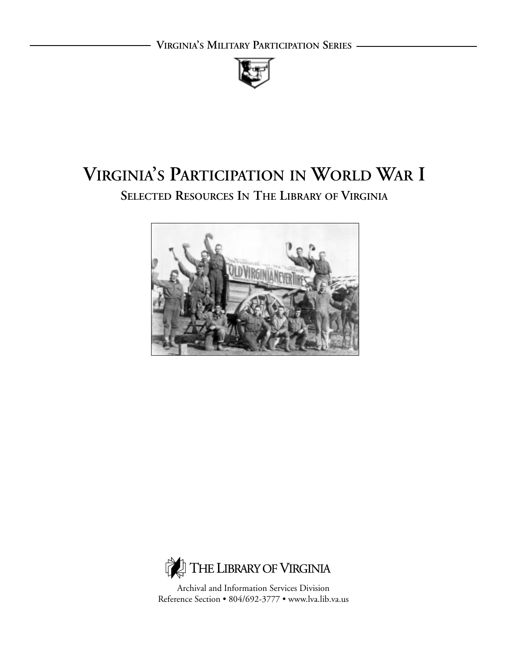

# **VIRGINIA'S PARTICIPATION IN WORLD WAR I SELECTED RESOURCES IN THE LIBRARY OF VIRGINIA**





Archival and Information Services Division Reference Section • 804/692-3777 • www.lva.lib.va.us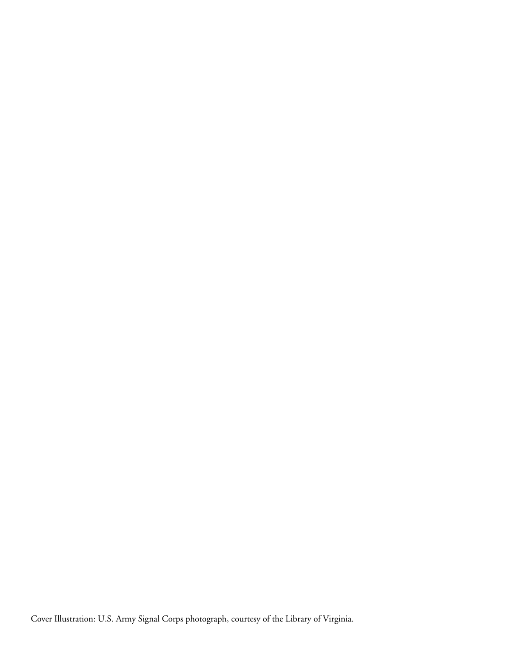Cover Illustration: U.S. Army Signal Corps photograph, courtesy of the Library of Virginia.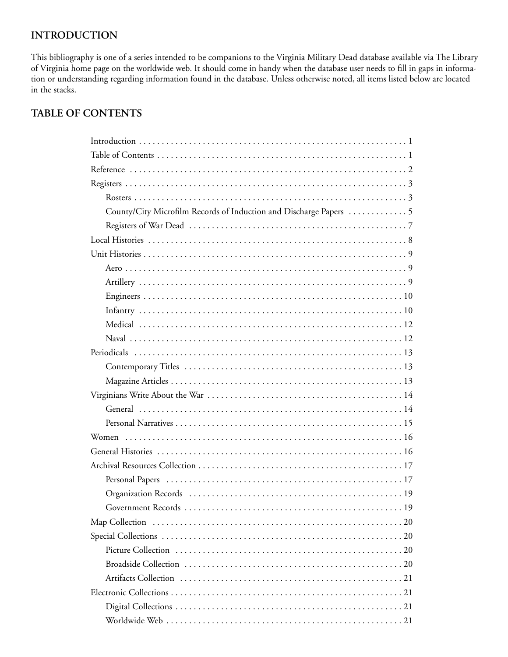# **INTRODUCTION**

This bibliography is one of a series intended to be companions to the Virginia Military Dead database available via The Library of Virginia home page on the worldwide web. It should come in handy when the database user needs to fill in gaps in information or understanding regarding information found in the database. Unless otherwise noted, all items listed below are located in the stacks.

# **TABLE OF CONTENTS**

| Government Records<br>19 |
|--------------------------|
|                          |
|                          |
|                          |
|                          |
|                          |
|                          |
|                          |
|                          |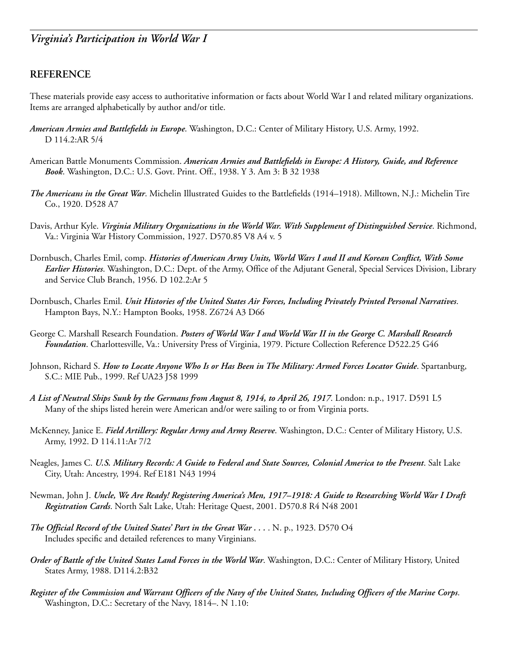## **REFERENCE**

These materials provide easy access to authoritative information or facts about World War I and related military organizations. Items are arranged alphabetically by author and/or title.

- *American Armies and Battlefields in Europe*. Washington, D.C.: Center of Military History, U.S. Army, 1992. D 114.2:AR 5/4
- American Battle Monuments Commission. *American Armies and Battlefields in Europe: A History, Guide, and Reference Book*. Washington, D.C.: U.S. Govt. Print. Off., 1938. Y 3. Am 3: B 32 1938
- *The Americans in the Great War*. Michelin Illustrated Guides to the Battlefields (1914–1918). Milltown, N.J.: Michelin Tire Co., 1920. D528 A7
- Davis, Arthur Kyle. *Virginia Military Organizations in the World War. With Supplement of Distinguished Service*. Richmond, Va.: Virginia War History Commission, 1927. D570.85 V8 A4 v. 5
- Dornbusch, Charles Emil, comp. *Histories of American Army Units, World Wars I and II and Korean Conflict, With Some Earlier Histories*. Washington, D.C.: Dept. of the Army, Office of the Adjutant General, Special Services Division, Library and Service Club Branch, 1956. D 102.2:Ar 5
- Dornbusch, Charles Emil. *Unit Histories of the United States Air Forces, Including Privately Printed Personal Narratives*. Hampton Bays, N.Y.: Hampton Books, 1958. Z6724 A3 D66
- George C. Marshall Research Foundation. *Posters of World War I and World War II in the George C. Marshall Research Foundation*. Charlottesville, Va.: University Press of Virginia, 1979. Picture Collection Reference D522.25 G46
- Johnson, Richard S. *How to Locate Anyone Who Is or Has Been in The Military: Armed Forces Locator Guide*. Spartanburg, S.C.: MIE Pub., 1999. Ref UA23 J58 1999
- *A List of Neutral Ships Sunk by the Germans from August 8, 1914, to April 26, 1917*. London: n.p., 1917. D591 L5 Many of the ships listed herein were American and/or were sailing to or from Virginia ports.
- McKenney, Janice E. *Field Artillery: Regular Army and Army Reserve*. Washington, D.C.: Center of Military History, U.S. Army, 1992. D 114.11:Ar 7/2
- Neagles, James C. *U.S. Military Records: A Guide to Federal and State Sources, Colonial America to the Present*. Salt Lake City, Utah: Ancestry, 1994. Ref E181 N43 1994
- Newman, John J. *Uncle, We Are Ready! Registering America's Men, 1917–1918: A Guide to Researching World War I Draft Registration Cards*. North Salt Lake, Utah: Heritage Quest, 2001. D570.8 R4 N48 2001
- *The Official Record of the United States' Part in the Great War . . .* . N. p., 1923. D570 O4 Includes specific and detailed references to many Virginians.
- *Order of Battle of the United States Land Forces in the World War*. Washington, D.C.: Center of Military History, United States Army, 1988. D114.2:B32
- *Register of the Commission and Warrant Officers of the Navy of the United States, Including Officers of the Marine Corps*. Washington, D.C.: Secretary of the Navy, 1814–. N 1.10: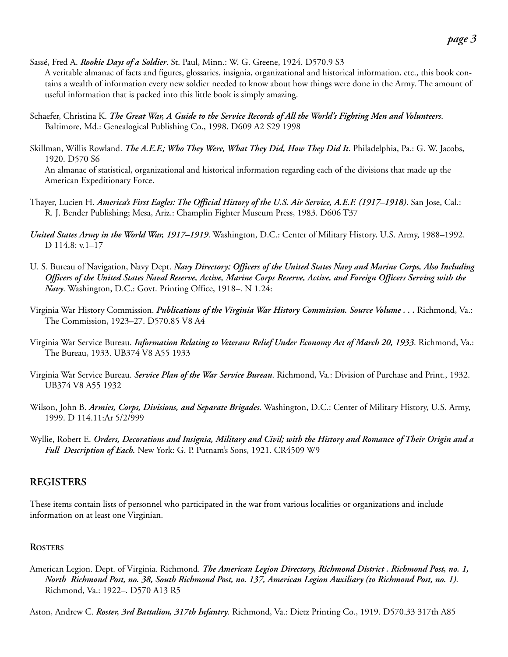Sassé, Fred A. *Rookie Days of a Soldier*. St. Paul, Minn.: W. G. Greene, 1924. D570.9 S3

A veritable almanac of facts and figures, glossaries, insignia, organizational and historical information, etc., this book contains a wealth of information every new soldier needed to know about how things were done in the Army. The amount of useful information that is packed into this little book is simply amazing.

- Schaefer, Christina K. *The Great War, A Guide to the Service Records of All the World's Fighting Men and Volunteers*. Baltimore, Md.: Genealogical Publishing Co., 1998. D609 A2 S29 1998
- Skillman, Willis Rowland. *The A.E.F.; Who They Were, What They Did, How They Did It*. Philadelphia, Pa.: G. W. Jacobs, 1920. D570 S6

An almanac of statistical, organizational and historical information regarding each of the divisions that made up the American Expeditionary Force.

- Thayer, Lucien H. *America's First Eagles: The Official History of the U.S. Air Service, A.E.F. (1917–1918)*. San Jose, Cal.: R. J. Bender Publishing; Mesa, Ariz.: Champlin Fighter Museum Press, 1983. D606 T37
- *United States Army in the World War, 1917–1919*. Washington, D.C.: Center of Military History, U.S. Army, 1988–1992. D 114.8: v.1–17
- U. S. Bureau of Navigation, Navy Dept. *Navy Directory; Officers of the United States Navy and Marine Corps, Also Including Officers of the United States Naval Reserve, Active, Marine Corps Reserve, Active, and Foreign Officers Serving with the Navy*. Washington, D.C.: Govt. Printing Office, 1918–. N 1.24:
- Virginia War History Commission. *Publications of the Virginia War History Commission. Source Volume . . .* Richmond, Va.: The Commission, 1923–27. D570.85 V8 A4
- Virginia War Service Bureau. *Information Relating to Veterans Relief Under Economy Act of March 20, 1933*. Richmond, Va.: The Bureau, 1933. UB374 V8 A55 1933
- Virginia War Service Bureau. *Service Plan of the War Service Bureau*. Richmond, Va.: Division of Purchase and Print., 1932. UB374 V8 A55 1932
- Wilson, John B. *Armies, Corps, Divisions, and Separate Brigades*. Washington, D.C.: Center of Military History, U.S. Army, 1999. D 114.11:Ar 5/2/999
- Wyllie, Robert E. *Orders, Decorations and Insignia, Military and Civil; with the History and Romance of Their Origin and a Full Description of Each.* New York: G. P. Putnam's Sons, 1921. CR4509 W9

### **REGISTERS**

These items contain lists of personnel who participated in the war from various localities or organizations and include information on at least one Virginian.

#### **ROSTERS**

American Legion. Dept. of Virginia. Richmond. *The American Legion Directory, Richmond District . Richmond Post, no. 1, North Richmond Post, no. 38, South Richmond Post, no. 137, American Legion Auxiliary (to Richmond Post, no. 1)*. Richmond, Va.: 1922–. D570 A13 R5

Aston, Andrew C. *Roster, 3rd Battalion, 317th Infantry*. Richmond, Va.: Dietz Printing Co., 1919. D570.33 317th A85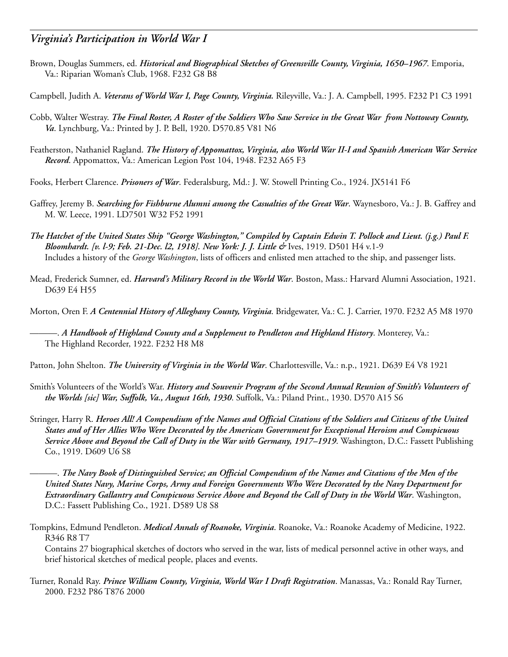- Brown, Douglas Summers, ed. *Historical and Biographical Sketches of Greensville County, Virginia, 1650–1967*. Emporia, Va.: Riparian Woman's Club, 1968. F232 G8 B8
- Campbell, Judith A. *Veterans of World War I, Page County, Virginia.* Rileyville, Va.: J. A. Campbell, 1995. F232 P1 C3 1991
- Cobb, Walter Westray. *The Final Roster, A Roster of the Soldiers Who Saw Service in the Great War from Nottoway County, Va*. Lynchburg, Va.: Printed by J. P. Bell, 1920. D570.85 V81 N6
- Featherston, Nathaniel Ragland. *The History of Appomattox, Virginia, also World War II-I and Spanish American War Service Record*. Appomattox, Va.: American Legion Post 104, 1948. F232 A65 F3
- Fooks, Herbert Clarence. *Prisoners of War*. Federalsburg, Md.: J. W. Stowell Printing Co., 1924. JX5141 F6
- Gaffrey, Jeremy B. *Searching for Fishburne Alumni among the Casualties of the Great War*. Waynesboro, Va.: J. B. Gaffrey and M. W. Leece, 1991. LD7501 W32 F52 1991
- *The Hatchet of the United States Ship "George Washington," Compiled by Captain Edwin T. Pollock and Lieut. (j.g.) Paul F. Bloomhardt. [v. l-9; Feb. 21-Dec. l2, 1918]. New York: J. J. Little &* Ives, 1919. D501 H4 v.1-9 Includes a history of the *George Washington*, lists of officers and enlisted men attached to the ship, and passenger lists.
- Mead, Frederick Sumner, ed. *Harvard's Military Record in the World War*. Boston, Mass.: Harvard Alumni Association, 1921. D639 E4 H55
- Morton, Oren F. *A Centennial History of Alleghany County, Virginia*. Bridgewater, Va.: C. J. Carrier, 1970. F232 A5 M8 1970
	- ———. *A Handbook of Highland County and a Supplement to Pendleton and Highland History*. Monterey, Va.: The Highland Recorder, 1922. F232 H8 M8
- Patton, John Shelton. *The University of Virginia in the World War*. Charlottesville, Va.: n.p., 1921. D639 E4 V8 1921
- Smith's Volunteers of the World's War. *History and Souvenir Program of the Second Annual Reunion of Smith's Volunteers of the Worlds [sic] War, Suffolk, Va., August 16th, 1930*. Suffolk, Va.: Piland Print., 1930. D570 A15 S6
- Stringer, Harry R. *Heroes All! A Compendium of the Names and Official Citations of the Soldiers and Citizens of the United States and of Her Allies Who Were Decorated by the American Government for Exceptional Heroism and Conspicuous Service Above and Beyond the Call of Duty in the War with Germany, 1917–1919*. Washington, D.C.: Fassett Publishing Co., 1919. D609 U6 S8

———. *The Navy Book of Distinguished Service; an Official Compendium of the Names and Citations of the Men of the United States Navy, Marine Corps, Army and Foreign Governments Who Were Decorated by the Navy Department for Extraordinary Gallantry and Conspicuous Service Above and Beyond the Call of Duty in the World War*. Washington, D.C.: Fassett Publishing Co., 1921. D589 U8 S8

Tompkins, Edmund Pendleton. *Medical Annals of Roanoke, Virginia*. Roanoke, Va.: Roanoke Academy of Medicine, 1922. R346 R8 T7

Contains 27 biographical sketches of doctors who served in the war, lists of medical personnel active in other ways, and brief historical sketches of medical people, places and events.

Turner, Ronald Ray. *Prince William County, Virginia, World War I Draft Registration*. Manassas, Va.: Ronald Ray Turner, 2000. F232 P86 T876 2000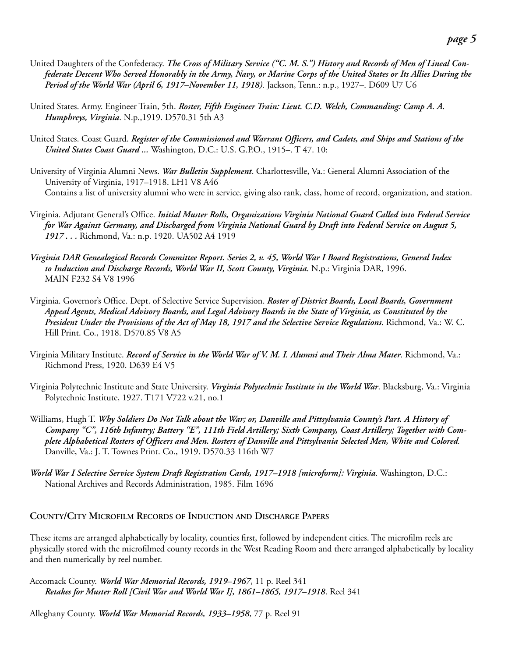- United Daughters of the Confederacy. *The Cross of Military Service ("C. M. S.") History and Records of Men of Lineal Confederate Descent Who Served Honorably in the Army, Navy, or Marine Corps of the United States or Its Allies During the Period of the World War (April 6, 1917–November 11, 1918)*. Jackson, Tenn.: n.p., 1927–. D609 U7 U6
- United States. Army. Engineer Train, 5th. *Roster, Fifth Engineer Train: Lieut. C.D. Welch, Commanding: Camp A. A. Humphreys, Virginia*. N.p.,1919. D570.31 5th A3
- United States. Coast Guard. *Register of the Commissioned and Warrant Officers, and Cadets, and Ships and Stations of the United States Coast Guard ...* Washington, D.C.: U.S. G.P.O., 1915–. T 47. 10:
- University of Virginia Alumni News. *War Bulletin Supplement*. Charlottesville, Va.: General Alumni Association of the University of Virginia, 1917–1918. LH1 V8 A46 Contains a list of university alumni who were in service, giving also rank, class, home of record, organization, and station.
- Virginia. Adjutant General's Office. *Initial Muster Rolls, Organizations Virginia National Guard Called into Federal Service for War Against Germany, and Discharged from Virginia National Guard by Draft into Federal Service on August 5, 1917 . . .* Richmond, Va.: n.p. 1920. UA502 A4 1919
- *Virginia DAR Genealogical Records Committee Report. Series 2, v. 45, World War I Board Registrations, General Index to Induction and Discharge Records, World War II, Scott County, Virginia*. N.p.: Virginia DAR, 1996. MAIN F232 S4 V8 1996
- Virginia. Governor's Office. Dept. of Selective Service Supervision. *Roster of District Boards, Local Boards, Government Appeal Agents, Medical Advisory Boards, and Legal Advisory Boards in the State of Virginia, as Constituted by the President Under the Provisions of the Act of May 18, 1917 and the Selective Service Regulations*. Richmond, Va.: W. C. Hill Print. Co., 1918. D570.85 V8 A5
- Virginia Military Institute. *Record of Service in the World War of V. M. I. Alumni and Their Alma Mater*. Richmond, Va.: Richmond Press, 1920. D639 E4 V5
- Virginia Polytechnic Institute and State University. *Virginia Polytechnic Institute in the World War*. Blacksburg, Va.: Virginia Polytechnic Institute, 1927. T171 V722 v.21, no.1
- Williams, Hugh T. *Why Soldiers Do Not Talk about the War; or, Danville and Pittsylvania County's Part. A History of Company "C", 116th Infantry; Battery "E", 111th Field Artillery; Sixth Company, Coast Artillery; Together with Complete Alphabetical Rosters of Officers and Men. Rosters of Danville and Pittsylvania Selected Men, White and Colored.* Danville, Va.: J. T. Townes Print. Co., 1919. D570.33 116th W7
- *World War I Selective Service System Draft Registration Cards, 1917–1918 [microform]: Virginia*. Washington, D.C.: National Archives and Records Administration, 1985. Film 1696

#### **COUNTY/CITY MICROFILM RECORDS OF INDUCTION AND DISCHARGE PAPERS**

These items are arranged alphabetically by locality, counties first, followed by independent cities. The microfilm reels are physically stored with the microfilmed county records in the West Reading Room and there arranged alphabetically by locality and then numerically by reel number.

Accomack County. *World War Memorial Records, 1919–1967*, 11 p. Reel 341 *Retakes for Muster Roll [Civil War and World War I], 1861–1865, 1917–1918*. Reel 341

Alleghany County. *World War Memorial Records, 1933–1958*, 77 p. Reel 91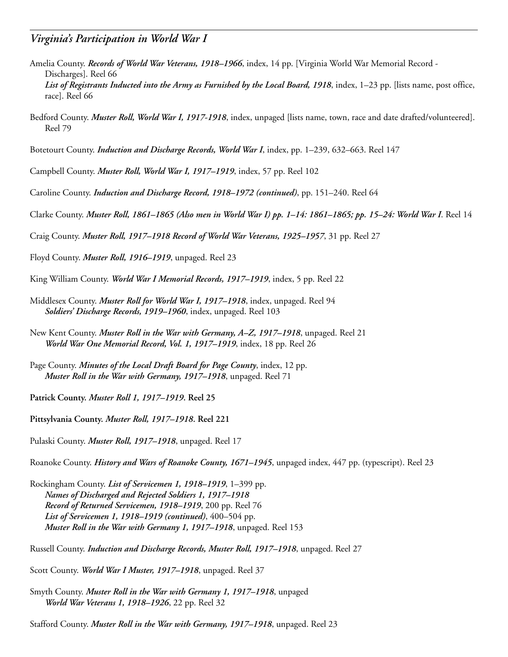- Amelia County. *Records of World War Veterans, 1918–1966*, index, 14 pp. [Virginia World War Memorial Record Discharges]. Reel 66 *List of Registrants Inducted into the Army as Furnished by the Local Board, 1918*, index, 1–23 pp. [lists name, post office, race]. Reel 66
- Bedford County. *Muster Roll, World War I, 1917-1918*, index, unpaged [lists name, town, race and date drafted/volunteered]. Reel 79
- Botetourt County. *Induction and Discharge Records, World War I*, index, pp. 1–239, 632–663. Reel 147
- Campbell County. *Muster Roll, World War I, 1917–1919*, index, 57 pp. Reel 102
- Caroline County. *Induction and Discharge Record, 1918–1972 (continued)*, pp. 151–240. Reel 64
- Clarke County. *Muster Roll, 1861–1865 (Also men in World War I) pp. 1–14: 1861–1865; pp. 15–24: World War I*. Reel 14
- Craig County. *Muster Roll, 1917–1918 Record of World War Veterans, 1925–1957*, 31 pp. Reel 27
- Floyd County. *Muster Roll, 1916–1919*, unpaged. Reel 23
- King William County. *World War I Memorial Records, 1917–1919*, index, 5 pp. Reel 22
- Middlesex County. *Muster Roll for World War I, 1917–1918*, index, unpaged. Reel 94 *Soldiers' Discharge Records, 1919–1960*, index, unpaged. Reel 103
- New Kent County. *Muster Roll in the War with Germany, A–Z, 1917–1918*, unpaged. Reel 21 *World War One Memorial Record, Vol. 1, 1917–1919*, index, 18 pp. Reel 26
- Page County. *Minutes of the Local Draft Board for Page County*, index, 12 pp. *Muster Roll in the War with Germany, 1917–1918*, unpaged. Reel 71
- **Patrick County.** *Muster Roll 1, 1917–1919***. Reel 25**
- **Pittsylvania County.** *Muster Roll, 1917–1918***. Reel 221**
- Pulaski County. *Muster Roll, 1917–1918*, unpaged. Reel 17
- Roanoke County. *History and Wars of Roanoke County, 1671–1945*, unpaged index, 447 pp. (typescript). Reel 23
- Rockingham County. *List of Servicemen 1, 1918–1919*, 1–399 pp. *Names of Discharged and Rejected Soldiers 1, 1917–1918 Record of Returned Servicemen, 1918–1919*, 200 pp. Reel 76 *List of Servicemen 1, 1918–1919 (continued)*, 400–504 pp. *Muster Roll in the War with Germany 1, 1917–1918*, unpaged. Reel 153
- Russell County. *Induction and Discharge Records, Muster Roll, 1917–1918*, unpaged. Reel 27
- Scott County. *World War I Muster, 1917–1918*, unpaged. Reel 37
- Smyth County. *Muster Roll in the War with Germany 1, 1917–1918*, unpaged *World War Veterans 1, 1918–1926*, 22 pp. Reel 32
- Stafford County. *Muster Roll in the War with Germany, 1917–1918*, unpaged. Reel 23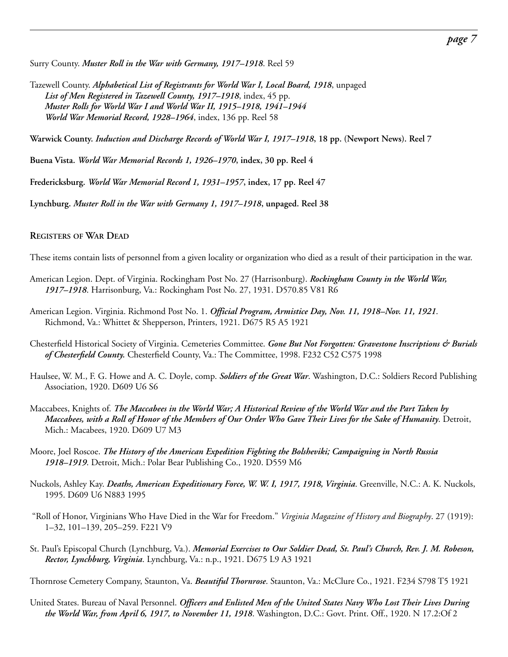Surry County. *Muster Roll in the War with Germany, 1917–1918*. Reel 59

Tazewell County. *Alphabetical List of Registrants for World War I, Local Board, 1918*, unpaged *List of Men Registered in Tazewell County, 1917–1918*, index, 45 pp. *Muster Rolls for World War I and World War II, 1915–1918, 1941–1944 World War Memorial Record, 1928–1964*, index, 136 pp. Reel 58

**Warwick County.** *Induction and Discharge Records of World War I, 1917–1918***, 18 pp. (Newport News). Reel 7**

**Buena Vista.** *World War Memorial Records 1, 1926–1970***, index, 30 pp. Reel 4**

**Fredericksburg.** *World War Memorial Record 1, 1931–1957***, index, 17 pp. Reel 47**

**Lynchburg.** *Muster Roll in the War with Germany 1, 1917–1918***, unpaged. Reel 38**

**REGISTERS OF WAR DEAD**

These items contain lists of personnel from a given locality or organization who died as a result of their participation in the war.

- American Legion. Dept. of Virginia. Rockingham Post No. 27 (Harrisonburg). *Rockingham County in the World War, 1917–1918*. Harrisonburg, Va.: Rockingham Post No. 27, 1931. D570.85 V81 R6
- American Legion. Virginia. Richmond Post No. 1. *Official Program, Armistice Day, Nov. 11, 1918–Nov. 11, 1921*. Richmond, Va.: Whittet & Shepperson, Printers, 1921. D675 R5 A5 1921

Chesterfield Historical Society of Virginia. Cemeteries Committee. *Gone But Not Forgotten: Gravestone Inscriptions & Burials of Chesterfield County.* Chesterfield County, Va.: The Committee, 1998. F232 C52 C575 1998

Haulsee, W. M., F. G. Howe and A. C. Doyle, comp. *Soldiers of the Great War*. Washington, D.C.: Soldiers Record Publishing Association, 1920. D609 U6 S6

- Maccabees, Knights of. *The Maccabees in the World War; A Historical Review of the World War and the Part Taken by Maccabees, with a Roll of Honor of the Members of Our Order Who Gave Their Lives for the Sake of Humanity*. Detroit, Mich.: Macabees, 1920. D609 U7 M3
- Moore, Joel Roscoe. *The History of the American Expedition Fighting the Bolsheviki; Campaigning in North Russia 1918–1919*. Detroit, Mich.: Polar Bear Publishing Co., 1920. D559 M6
- Nuckols, Ashley Kay. *Deaths, American Expeditionary Force, W. W. I, 1917, 1918, Virginia*. Greenville, N.C.: A. K. Nuckols, 1995. D609 U6 N883 1995

"Roll of Honor, Virginians Who Have Died in the War for Freedom." *Virginia Magazine of History and Biography*. 27 (1919): 1–32, 101–139, 205–259. F221 V9

St. Paul's Episcopal Church (Lynchburg, Va.). *Memorial Exercises to Our Soldier Dead, St. Paul's Church, Rev. J. M. Robeson, Rector, Lynchburg, Virginia*. Lynchburg, Va.: n.p., 1921. D675 L9 A3 1921

Thornrose Cemetery Company, Staunton, Va. *Beautiful Thornrose*. Staunton, Va.: McClure Co., 1921. F234 S798 T5 1921

United States. Bureau of Naval Personnel. *Officers and Enlisted Men of the United States Navy Who Lost Their Lives During the World War, from April 6, 1917, to November 11, 1918*. Washington, D.C.: Govt. Print. Off., 1920. N 17.2:Of 2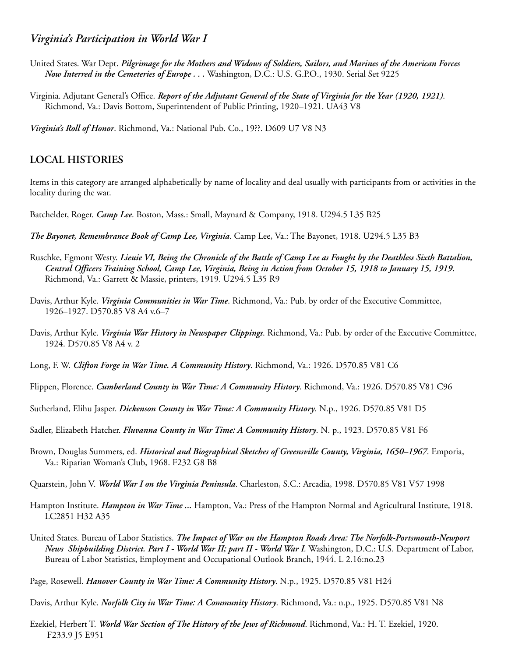- United States. War Dept. *Pilgrimage for the Mothers and Widows of Soldiers, Sailors, and Marines of the American Forces Now Interred in the Cemeteries of Europe . . .* Washington, D.C.: U.S. G.P.O., 1930. Serial Set 9225
- Virginia. Adjutant General's Office. *Report of the Adjutant General of the State of Virginia for the Year (1920, 1921)*. Richmond, Va.: Davis Bottom, Superintendent of Public Printing, 1920–1921. UA43 V8

*Virginia's Roll of Honor*. Richmond, Va.: National Pub. Co., 19??. D609 U7 V8 N3

#### **LOCAL HISTORIES**

Items in this category are arranged alphabetically by name of locality and deal usually with participants from or activities in the locality during the war.

Batchelder, Roger. *Camp Lee*. Boston, Mass.: Small, Maynard & Company, 1918. U294.5 L35 B25

- *The Bayonet, Remembrance Book of Camp Lee, Virginia*. Camp Lee, Va.: The Bayonet, 1918. U294.5 L35 B3
- Ruschke, Egmont Westy. *Lieuie VI, Being the Chronicle of the Battle of Camp Lee as Fought by the Deathless Sixth Battalion, Central Officers Training School, Camp Lee, Virginia, Being in Action from October 15, 1918 to January 15, 1919*. Richmond, Va.: Garrett & Massie, printers, 1919. U294.5 L35 R9
- Davis, Arthur Kyle. *Virginia Communities in War Time*. Richmond, Va.: Pub. by order of the Executive Committee, 1926–1927. D570.85 V8 A4 v.6–7
- Davis, Arthur Kyle. *Virginia War History in Newspaper Clippings*. Richmond, Va.: Pub. by order of the Executive Committee, 1924. D570.85 V8 A4 v. 2
- Long, F. W. *Clifton Forge in War Time. A Community History*. Richmond, Va.: 1926. D570.85 V81 C6
- Flippen, Florence. *Cumberland County in War Time: A Community History*. Richmond, Va.: 1926. D570.85 V81 C96
- Sutherland, Elihu Jasper. *Dickenson County in War Time: A Community History*. N.p., 1926. D570.85 V81 D5
- Sadler, Elizabeth Hatcher. *Fluvanna County in War Time: A Community History*. N. p., 1923. D570.85 V81 F6
- Brown, Douglas Summers, ed. *Historical and Biographical Sketches of Greensville County, Virginia, 1650–1967*. Emporia, Va.: Riparian Woman's Club, 1968. F232 G8 B8
- Quarstein, John V. *World War I on the Virginia Peninsula*. Charleston, S.C.: Arcadia, 1998. D570.85 V81 V57 1998
- Hampton Institute. *Hampton in War Time ...* Hampton, Va.: Press of the Hampton Normal and Agricultural Institute, 1918. LC2851 H32 A35
- United States. Bureau of Labor Statistics. *The Impact of War on the Hampton Roads Area: The Norfolk-Portsmouth-Newport News Shipbuilding District. Part I - World War II; part II - World War I.* Washington, D.C.: U.S. Department of Labor, Bureau of Labor Statistics, Employment and Occupational Outlook Branch, 1944. L 2.16:no.23
- Page, Rosewell. *Hanover County in War Time: A Community History*. N.p., 1925. D570.85 V81 H24

Davis, Arthur Kyle. *Norfolk City in War Time: A Community History*. Richmond, Va.: n.p., 1925. D570.85 V81 N8

Ezekiel, Herbert T. *World War Section of The History of the Jews of Richmond*. Richmond, Va.: H. T. Ezekiel, 1920. F233.9 J5 E951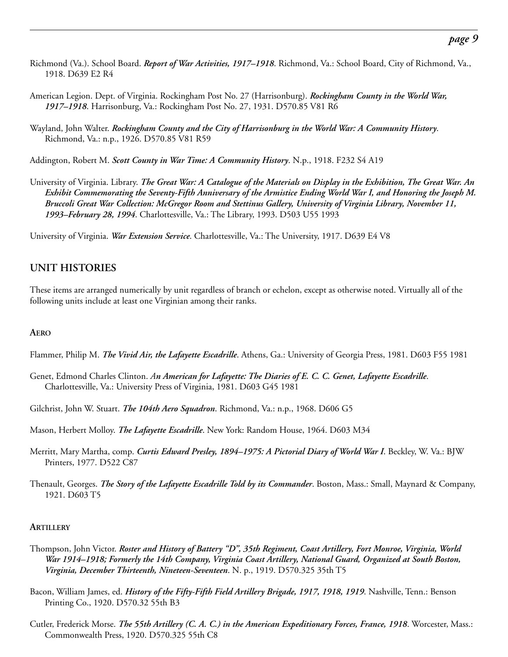- Richmond (Va.). School Board. *Report of War Activities, 1917–1918*. Richmond, Va.: School Board, City of Richmond, Va., 1918. D639 E2 R4
- American Legion. Dept. of Virginia. Rockingham Post No. 27 (Harrisonburg). *Rockingham County in the World War, 1917–1918*. Harrisonburg, Va.: Rockingham Post No. 27, 1931. D570.85 V81 R6
- Wayland, John Walter. *Rockingham County and the City of Harrisonburg in the World War: A Community History*. Richmond, Va.: n.p., 1926. D570.85 V81 R59

Addington, Robert M. *Scott County in War Time: A Community History*. N.p., 1918. F232 S4 A19

University of Virginia. Library. *The Great War: A Catalogue of the Materials on Display in the Exhibition, The Great War. An Exhibit Commemorating the Seventy-Fifth Anniversary of the Armistice Ending World War I, and Honoring the Joseph M. Bruccoli Great War Collection: McGregor Room and Stettinus Gallery, University of Virginia Library, November 11, 1993–February 28, 1994*. Charlottesville, Va.: The Library, 1993. D503 U55 1993

University of Virginia. *War Extension Service*. Charlottesville, Va.: The University, 1917. D639 E4 V8

# **UNIT HISTORIES**

These items are arranged numerically by unit regardless of branch or echelon, except as otherwise noted. Virtually all of the following units include at least one Virginian among their ranks.

#### **AERO**

- Flammer, Philip M. *The Vivid Air, the Lafayette Escadrille*. Athens, Ga.: University of Georgia Press, 1981. D603 F55 1981
- Genet, Edmond Charles Clinton. *An American for Lafayette: The Diaries of E. C. C. Genet, Lafayette Escadrille*. Charlottesville, Va.: University Press of Virginia, 1981. D603 G45 1981
- Gilchrist, John W. Stuart. *The 104th Aero Squadron*. Richmond, Va.: n.p., 1968. D606 G5
- Mason, Herbert Molloy. *The Lafayette Escadrille*. New York: Random House, 1964. D603 M34
- Merritt, Mary Martha, comp. *Curtis Edward Presley, 1894–1975: A Pictorial Diary of World War I*. Beckley, W. Va.: BJW Printers, 1977. D522 C87
- Thenault, Georges. *The Story of the Lafayette Escadrille Told by its Commander*. Boston, Mass.: Small, Maynard & Company, 1921. D603 T5

#### **ARTILLERY**

- Thompson, John Victor. *Roster and History of Battery "D", 35th Regiment, Coast Artillery, Fort Monroe, Virginia, World War 1914–1918; Formerly the 14th Company, Virginia Coast Artillery, National Guard, Organized at South Boston, Virginia, December Thirteenth, Nineteen-Seventeen*. N. p., 1919. D570.325 35th T5
- Bacon, William James, ed. *History of the Fifty-Fifth Field Artillery Brigade, 1917, 1918, 1919*. Nashville, Tenn.: Benson Printing Co., 1920. D570.32 55th B3
- Cutler, Frederick Morse. *The 55th Artillery (C. A. C.) in the American Expeditionary Forces, France, 1918*. Worcester, Mass.: Commonwealth Press, 1920. D570.325 55th C8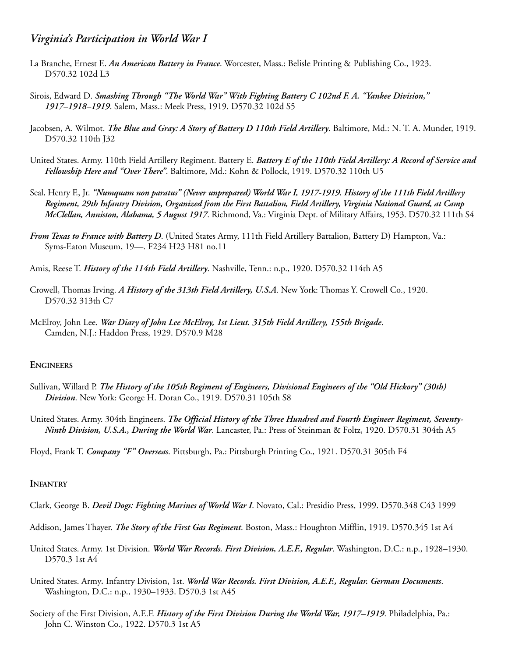- La Branche, Ernest E. *An American Battery in France*. Worcester, Mass.: Belisle Printing & Publishing Co., 1923. D570.32 102d L3
- Sirois, Edward D. *Smashing Through "The World War" With Fighting Battery C 102nd F. A. "Yankee Division," 1917–1918–1919*. Salem, Mass.: Meek Press, 1919. D570.32 102d S5
- Jacobsen, A. Wilmot. *The Blue and Gray: A Story of Battery D 110th Field Artillery*. Baltimore, Md.: N. T. A. Munder, 1919. D570.32 110th J32
- United States. Army. 110th Field Artillery Regiment. Battery E. *Battery E of the 110th Field Artillery: A Record of Service and Fellowship Here and "Over There"*. Baltimore, Md.: Kohn & Pollock, 1919. D570.32 110th U5
- Seal, Henry F., Jr. *"Numquam non paratus" (Never unprepared) World War I, 1917-1919. History of the 111th Field Artillery Regiment, 29th Infantry Division, Organized from the First Battalion, Field Artillery, Virginia National Guard, at Camp McClellan, Anniston, Alabama, 5 August 1917*. Richmond, Va.: Virginia Dept. of Military Affairs, 1953. D570.32 111th S4
- *From Texas to France with Battery D*. (United States Army, 111th Field Artillery Battalion, Battery D) Hampton, Va.: Syms-Eaton Museum, 19—. F234 H23 H81 no.11
- Amis, Reese T. *History of the 114th Field Artillery*. Nashville, Tenn.: n.p., 1920. D570.32 114th A5
- Crowell, Thomas Irving. *A History of the 313th Field Artillery, U.S.A*. New York: Thomas Y. Crowell Co., 1920. D570.32 313th C7
- McElroy, John Lee. *War Diary of John Lee McElroy, 1st Lieut. 315th Field Artillery, 155th Brigade*. Camden, N.J.: Haddon Press, 1929. D570.9 M28

#### **ENGINEERS**

- Sullivan, Willard P. *The History of the 105th Regiment of Engineers, Divisional Engineers of the "Old Hickory" (30th) Division*. New York: George H. Doran Co., 1919. D570.31 105th S8
- United States. Army. 304th Engineers. *The Official History of the Three Hundred and Fourth Engineer Regiment, Seventy-Ninth Division, U.S.A., During the World War*. Lancaster, Pa.: Press of Steinman & Foltz, 1920. D570.31 304th A5
- Floyd, Frank T. *Company "F" Overseas*. Pittsburgh, Pa.: Pittsburgh Printing Co., 1921. D570.31 305th F4

#### **INFANTRY**

- Clark, George B. *Devil Dogs: Fighting Marines of World War I*. Novato, Cal.: Presidio Press, 1999. D570.348 C43 1999
- Addison, James Thayer. *The Story of the First Gas Regiment*. Boston, Mass.: Houghton Mifflin, 1919. D570.345 1st A4
- United States. Army. 1st Division. *World War Records. First Division, A.E.F., Regular*. Washington, D.C.: n.p., 1928–1930. D570.3 1st A4
- United States. Army*.* Infantry Division, 1st. *World War Records. First Division, A.E.F., Regular. German Documents*. Washington, D.C.: n.p., 1930–1933. D570.3 1st A45
- Society of the First Division, A.E.F. *History of the First Division During the World War, 1917–1919*. Philadelphia, Pa.: John C. Winston Co., 1922. D570.3 1st A5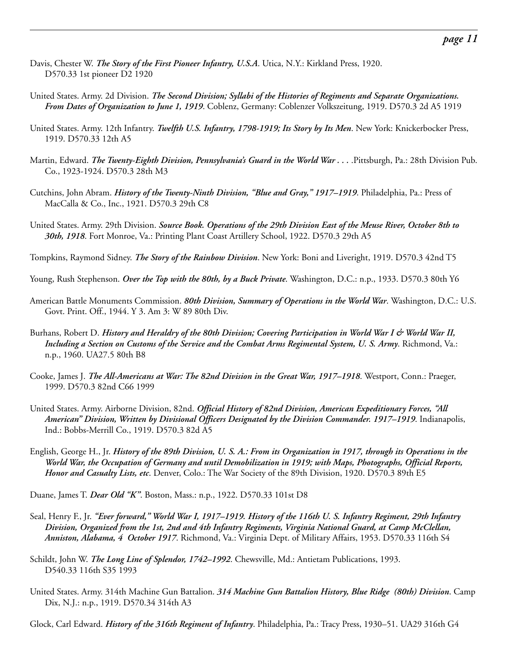- Davis, Chester W. *The Story of the First Pioneer Infantry, U.S.A*. Utica, N.Y.: Kirkland Press, 1920. D570.33 1st pioneer D2 1920
- United States. Army. 2d Division. *The Second Division; Syllabi of the Histories of Regiments and Separate Organizations. From Dates of Organization to June 1, 1919*. Coblenz, Germany: Coblenzer Volkszeitung, 1919. D570.3 2d A5 1919
- United States. Army. 12th Infantry. *Twelfth U.S. Infantry, 1798-1919; Its Story by Its Men*. New York: Knickerbocker Press, 1919. D570.33 12th A5
- Martin, Edward. *The Twenty-Eighth Division, Pennsylvania's Guard in the World War . . .* .Pittsburgh, Pa.: 28th Division Pub. Co., 1923-1924. D570.3 28th M3
- Cutchins, John Abram. *History of the Twenty-Ninth Division, "Blue and Gray," 1917–1919*. Philadelphia, Pa.: Press of MacCalla & Co., Inc., 1921. D570.3 29th C8
- United States. Army. 29th Division. *Source Book. Operations of the 29th Division East of the Meuse River, October 8th to 30th, 1918*. Fort Monroe, Va.: Printing Plant Coast Artillery School, 1922. D570.3 29th A5

Tompkins, Raymond Sidney. *The Story of the Rainbow Division*. New York: Boni and Liveright, 1919. D570.3 42nd T5

- Young, Rush Stephenson. *Over the Top with the 80th, by a Buck Private*. Washington, D.C.: n.p., 1933. D570.3 80th Y6
- American Battle Monuments Commission. *80th Division, Summary of Operations in the World War*. Washington, D.C.: U.S. Govt. Print. Off., 1944. Y 3. Am 3: W 89 80th Div.
- Burhans, Robert D. *History and Heraldry of the 80th Division; Covering Participation in World War I & World War II, Including a Section on Customs of the Service and the Combat Arms Regimental System, U. S. Army*. Richmond, Va.: n.p., 1960. UA27.5 80th B8
- Cooke, James J. *The All-Americans at War: The 82nd Division in the Great War, 1917–1918*. Westport, Conn.: Praeger, 1999. D570.3 82nd C66 1999
- United States. Army. Airborne Division, 82nd. *Official History of 82nd Division, American Expeditionary Forces, "All American" Division, Written by Divisional Officers Designated by the Division Commander. 1917–1919*. Indianapolis, Ind.: Bobbs-Merrill Co., 1919. D570.3 82d A5
- English, George H., Jr. *History of the 89th Division, U. S. A.: From its Organization in 1917, through its Operations in the World War, the Occupation of Germany and until Demobilization in 1919; with Maps, Photographs, Official Reports, Honor and Casualty Lists, etc*. Denver, Colo.: The War Society of the 89th Division, 1920. D570.3 89th E5

Duane, James T. *Dear Old "K"*. Boston, Mass.: n.p., 1922. D570.33 101st D8

- Seal, Henry F., Jr. *"Ever forward," World War I, 1917–1919. History of the 116th U. S. Infantry Regiment, 29th Infantry Division, Organized from the 1st, 2nd and 4th Infantry Regiments, Virginia National Guard, at Camp McClellan, Anniston, Alabama, 4 October 1917*. Richmond, Va.: Virginia Dept. of Military Affairs, 1953. D570.33 116th S4
- Schildt, John W. *The Long Line of Splendor, 1742–1992*. Chewsville, Md.: Antietam Publications, 1993. D540.33 116th S35 1993
- United States. Army. 314th Machine Gun Battalion. *314 Machine Gun Battalion History, Blue Ridge (80th) Division*. Camp Dix, N.J.: n.p., 1919. D570.34 314th A3

Glock, Carl Edward. *History of the 316th Regiment of Infantry*. Philadelphia, Pa.: Tracy Press, 1930–51. UA29 316th G4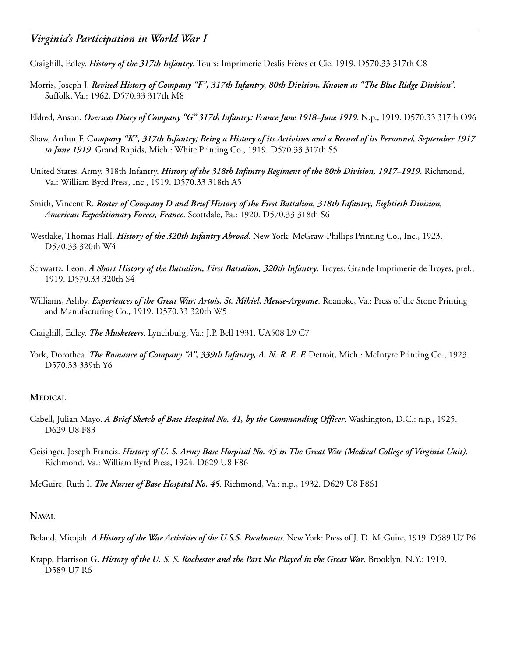- Craighill, Edley. *History of the 317th Infantry*. Tours: Imprimerie Deslis Frères et Cie, 1919. D570.33 317th C8
- Morris, Joseph J. *Revised History of Company "F", 317th Infantry, 80th Division, Known as "The Blue Ridge Division"*. Suffolk, Va.: 1962. D570.33 317th M8
- Eldred, Anson. *Overseas Diary of Company "G" 317th Infantry: France June 1918–June 1919*. N.p., 1919. D570.33 317th O96
- Shaw, Arthur F. C*ompany "K", 317th Infantry; Being a History of its Activities and a Record of its Personnel, September 1917 to June 1919*. Grand Rapids, Mich.: White Printing Co., 1919. D570.33 317th S5
- United States. Army. 318th Infantry. *History of the 318th Infantry Regiment of the 80th Division, 1917–1919*. Richmond, Va.: William Byrd Press, Inc., 1919. D570.33 318th A5
- Smith, Vincent R. *Roster of Company D and Brief History of the First Battalion, 318th Infantry, Eightieth Division, American Expeditionary Forces, France*. Scottdale, Pa.: 1920. D570.33 318th S6
- Westlake, Thomas Hall. *History of the 320th Infantry Abroad*. New York: McGraw-Phillips Printing Co., Inc., 1923. D570.33 320th W4
- Schwartz, Leon. *A Short History of the Battalion, First Battalion, 320th Infantry*. Troyes: Grande Imprimerie de Troyes, pref., 1919. D570.33 320th S4
- Williams, Ashby. *Experiences of the Great War; Artois, St. Mihiel, Meuse-Argonne*. Roanoke, Va.: Press of the Stone Printing and Manufacturing Co., 1919. D570.33 320th W5
- Craighill, Edley. *The Musketeers*. Lynchburg, Va.: J.P. Bell 1931. UA508 L9 C7
- York, Dorothea. *The Romance of Company "A", 339th Infantry, A. N. R. E. F.* Detroit, Mich.: McIntyre Printing Co., 1923. D570.33 339th Y6

#### **MEDICAL**

- Cabell, Julian Mayo. *A Brief Sketch of Base Hospital No. 41, by the Commanding Officer*. Washington, D.C.: n.p., 1925. D629 U8 F83
- Geisinger, Joseph Francis. *History of U. S. Army Base Hospital No. 45 in The Great War (Medical College of Virginia Unit)*. Richmond, Va.: William Byrd Press, 1924. D629 U8 F86

McGuire, Ruth I. *The Nurses of Base Hospital No. 45*. Richmond, Va.: n.p., 1932. D629 U8 F861

#### **NAVAL**

- Boland, Micajah. *A History of the War Activities of the U.S.S. Pocahontas*. New York: Press of J. D. McGuire, 1919. D589 U7 P6
- Krapp, Harrison G. *History of the U. S. S. Rochester and the Part She Played in the Great War*. Brooklyn, N.Y.: 1919. D589 U7 R6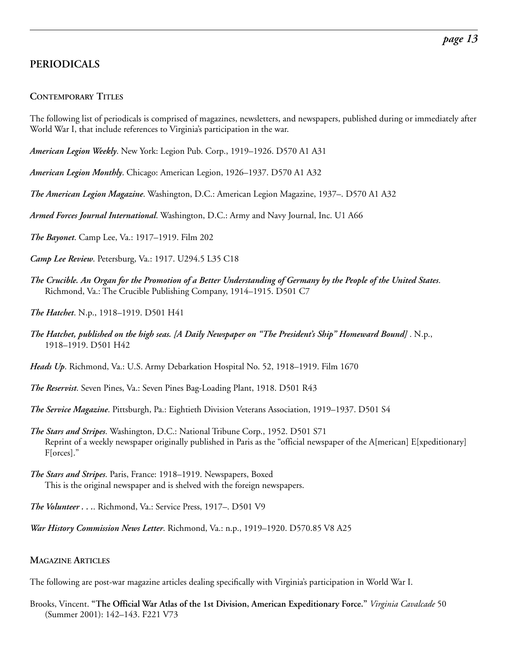# **PERIODICALS**

#### **CONTEMPORARY TITLES**

The following list of periodicals is comprised of magazines, newsletters, and newspapers, published during or immediately after World War I, that include references to Virginia's participation in the war.

*American Legion Weekly*. New York: Legion Pub. Corp., 1919–1926. D570 A1 A31

*American Legion Monthly*. Chicago: American Legion, 1926–1937. D570 A1 A32

*The American Legion Magazine*. Washington, D.C.: American Legion Magazine, 1937–. D570 A1 A32

*Armed Forces Journal International*. Washington, D.C.: Army and Navy Journal, Inc. U1 A66

*The Bayonet*. Camp Lee, Va.: 1917–1919. Film 202

*Camp Lee Review*. Petersburg, Va.: 1917. U294.5 L35 C18

*The Crucible. An Organ for the Promotion of a Better Understanding of Germany by the People of the United States*. Richmond, Va.: The Crucible Publishing Company, 1914–1915. D501 C7

*The Hatchet*. N.p., 1918–1919. D501 H41

*The Hatchet, published on the high seas. [A Daily Newspaper on "The President's Ship" Homeward Bound]* . N.p., 1918–1919. D501 H42

*Heads Up*. Richmond, Va.: U.S. Army Debarkation Hospital No. 52, 1918–1919. Film 1670

*The Reservist*. Seven Pines, Va.: Seven Pines Bag-Loading Plant, 1918. D501 R43

*The Service Magazine*. Pittsburgh, Pa.: Eightieth Division Veterans Association, 1919–1937. D501 S4

- *The Stars and Stripes*. Washington, D.C.: National Tribune Corp., 1952. D501 S71 Reprint of a weekly newspaper originally published in Paris as the "official newspaper of the A[merican] E[xpeditionary] F[orces]."
- *The Stars and Stripes*. Paris, France: 1918–1919. Newspapers, Boxed This is the original newspaper and is shelved with the foreign newspapers.

*The Volunteer . . .*. Richmond, Va.: Service Press, 1917–. D501 V9

*War History Commission News Letter*. Richmond, Va.: n.p., 1919–1920. D570.85 V8 A25

#### **MAGAZINE ARTICLES**

The following are post-war magazine articles dealing specifically with Virginia's participation in World War I.

Brooks, Vincent. **"The Official War Atlas of the 1st Division, American Expeditionary Force."** *Virginia Cavalcade* 50 (Summer 2001): 142–143. F221 V73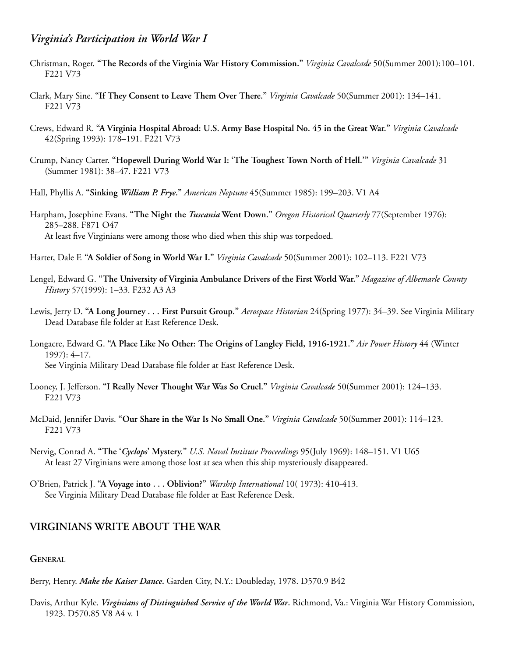- Christman, Roger. **"The Records of the Virginia War History Commission."** *Virginia Cavalcade* 50(Summer 2001):100–101. F221 V73
- Clark, Mary Sine. **"If They Consent to Leave Them Over There."** *Virginia Cavalcade* 50(Summer 2001): 134–141. F221 V73
- Crews, Edward R. **"A Virginia Hospital Abroad: U.S. Army Base Hospital No. 45 in the Great War."** *Virginia Cavalcade* 42(Spring 1993): 178–191. F221 V73
- Crump, Nancy Carter. **"Hopewell During World War I: 'The Toughest Town North of Hell.'"** *Virginia Cavalcade* 31 (Summer 1981): 38–47. F221 V73
- Hall, Phyllis A. **"Sinking** *William P. Frye***."** *American Neptune* 45(Summer 1985): 199–203. V1 A4
- Harpham, Josephine Evans. **"The Night the** *Tuscania* **Went Down."** *Oregon Historical Quarterly* 77(September 1976): 285–288. F871 O47 At least five Virginians were among those who died when this ship was torpedoed.
- Harter, Dale F. **"A Soldier of Song in World War I."** *Virginia Cavalcade* 50(Summer 2001): 102–113. F221 V73
- Lengel, Edward G. **"The University of Virginia Ambulance Drivers of the First World War."** *Magazine of Albemarle County History* 57(1999): 1–33. F232 A3 A3
- Lewis, Jerry D. **"A Long Journey . . . First Pursuit Group."** *Aerospace Historian* 24(Spring 1977): 34–39. See Virginia Military Dead Database file folder at East Reference Desk.
- Longacre, Edward G. **"A Place Like No Other: The Origins of Langley Field, 1916-1921."** *Air Power History* 44 (Winter 1997): 4–17. See Virginia Military Dead Database file folder at East Reference Desk.
- Looney, J. Jefferson. **"I Really Never Thought War Was So Cruel."** *Virginia Cavalcade* 50(Summer 2001): 124–133. F221 V73
- McDaid, Jennifer Davis. **"Our Share in the War Is No Small One."** *Virginia Cavalcade* 50(Summer 2001): 114–123. F221 V73
- Nervig, Conrad A. **"The '***Cyclops***' Mystery."** *U.S. Naval Institute Proceedings* 95(July 1969): 148–151. V1 U65 At least 27 Virginians were among those lost at sea when this ship mysteriously disappeared.
- O'Brien, Patrick J. **"A Voyage into . . . Oblivion?"** *Warship International* 10( 1973): 410-413. See Virginia Military Dead Database file folder at East Reference Desk.

### **VIRGINIANS WRITE ABOUT THE WAR**

#### **GENERAL**

Berry, Henry. *Make the Kaiser Dance***.** Garden City, N.Y.: Doubleday, 1978. D570.9 B42

Davis, Arthur Kyle. *Virginians of Distinguished Service of the World War***.** Richmond, Va.: Virginia War History Commission, 1923. D570.85 V8 A4 v. 1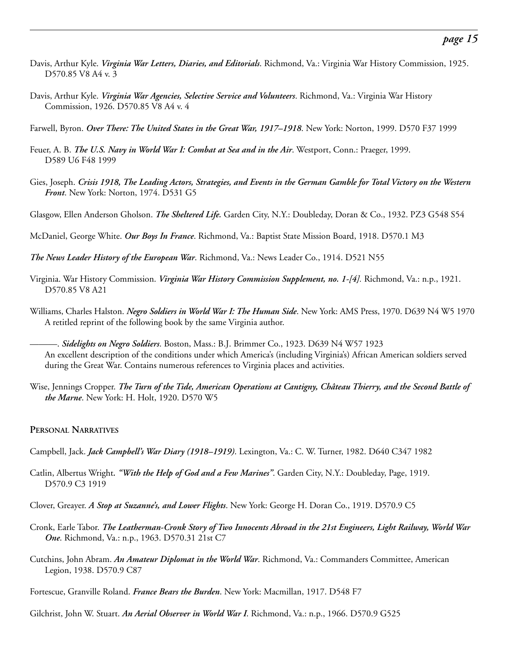- Davis, Arthur Kyle. *Virginia War Letters, Diaries, and Editorials*. Richmond, Va.: Virginia War History Commission, 1925. D570.85 V8 A4 v. 3
- Davis, Arthur Kyle. *Virginia War Agencies, Selective Service and Volunteers*. Richmond, Va.: Virginia War History Commission, 1926. D570.85 V8 A4 v. 4
- Farwell, Byron. *Over There: The United States in the Great War, 1917–1918*. New York: Norton, 1999. D570 F37 1999
- Feuer, A. B. *The U.S. Navy in World War I: Combat at Sea and in the Air*. Westport, Conn.: Praeger, 1999. D589 U6 F48 1999
- Gies, Joseph. *Crisis 1918, The Leading Actors, Strategies, and Events in the German Gamble for Total Victory on the Western Front*. New York: Norton, 1974. D531 G5
- Glasgow, Ellen Anderson Gholson. *The Sheltered Life.* Garden City, N.Y.: Doubleday, Doran & Co., 1932. PZ3 G548 S54
- McDaniel, George White. *Our Boys In France*. Richmond, Va.: Baptist State Mission Board, 1918. D570.1 M3
- *The News Leader History of the European War*. Richmond, Va.: News Leader Co., 1914. D521 N55
- Virginia. War History Commission. *Virginia War History Commission Supplement, no. 1-[4].* Richmond, Va.: n.p., 1921. D570.85 V8 A21
- Williams, Charles Halston. *Negro Soldiers in World War I: The Human Side*. New York: AMS Press, 1970. D639 N4 W5 1970 A retitled reprint of the following book by the same Virginia author.
	- ———. *Sidelights on Negro Soldiers*. Boston, Mass.: B.J. Brimmer Co., 1923. D639 N4 W57 1923 An excellent description of the conditions under which America's (including Virginia's) African American soldiers served during the Great War. Contains numerous references to Virginia places and activities.
- Wise, Jennings Cropper. *The Turn of the Tide, American Operations at Cantigny, Château Thierry, and the Second Battle of the Marne*. New York: H. Holt, 1920. D570 W5

#### **PERSONAL NARRATIVES**

- Campbell, Jack. *Jack Campbell's War Diary (1918–1919)*. Lexington, Va.: C. W. Turner, 1982. D640 C347 1982
- Catlin, Albertus Wright*. "With the Help of God and a Few Marines"*. Garden City, N.Y.: Doubleday, Page, 1919. D570.9 C3 1919
- Clover, Greayer. *A Stop at Suzanne's, and Lower Flights*. New York: George H. Doran Co., 1919. D570.9 C5
- Cronk, Earle Tabor. *The Leatherman-Cronk Story of Two Innocents Abroad in the 21st Engineers, Light Railway, World War One*. Richmond, Va.: n.p., 1963. D570.31 21st C7
- Cutchins, John Abram. *An Amateur Diplomat in the World War*. Richmond, Va.: Commanders Committee, American Legion, 1938. D570.9 C87
- Fortescue, Granville Roland. *France Bears the Burden*. New York: Macmillan, 1917. D548 F7
- Gilchrist, John W. Stuart. *An Aerial Observer in World War I*. Richmond, Va.: n.p., 1966. D570.9 G525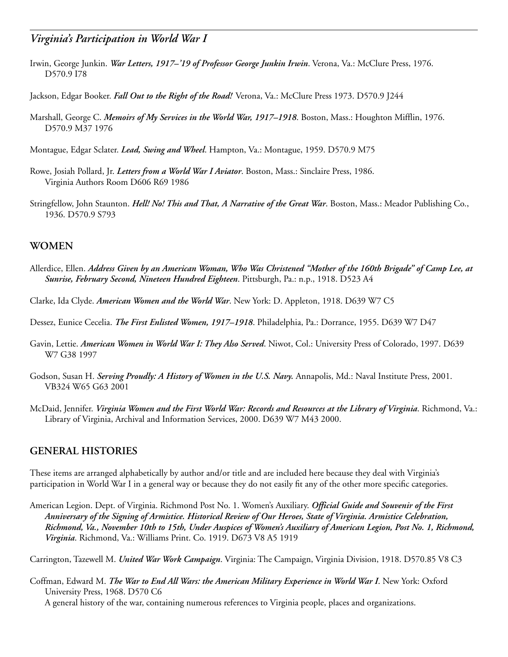- Irwin, George Junkin. *War Letters, 1917–'19 of Professor George Junkin Irwin*. Verona, Va.: McClure Press, 1976. D570.9 I78
- Jackson, Edgar Booker. *Fall Out to the Right of the Road!* Verona, Va.: McClure Press 1973. D570.9 J244
- Marshall, George C. *Memoirs of My Services in the World War, 1917–1918*. Boston, Mass.: Houghton Mifflin, 1976. D570.9 M37 1976
- Montague, Edgar Sclater. *Lead, Swing and Wheel*. Hampton, Va.: Montague, 1959. D570.9 M75
- Rowe, Josiah Pollard, Jr. *Letters from a World War I Aviator*. Boston, Mass.: Sinclaire Press, 1986. Virginia Authors Room D606 R69 1986
- Stringfellow, John Staunton. *Hell! No! This and That, A Narrative of the Great War*. Boston, Mass.: Meador Publishing Co., 1936. D570.9 S793

### **WOMEN**

- Allerdice, Ellen. *Address Given by an American Woman, Who Was Christened "Mother of the 160th Brigade" of Camp Lee, at Sunrise, February Second, Nineteen Hundred Eighteen*. Pittsburgh, Pa.: n.p., 1918. D523 A4
- Clarke, Ida Clyde. *American Women and the World War*. New York: D. Appleton, 1918. D639 W7 C5
- Dessez, Eunice Cecelia. *The First Enlisted Women, 1917–1918*. Philadelphia, Pa.: Dorrance, 1955. D639 W7 D47
- Gavin, Lettie. *American Women in World War I: They Also Served*. Niwot, Col.: University Press of Colorado, 1997. D639 W7 G38 1997
- Godson, Susan H. *Serving Proudly: A History of Women in the U.S. Navy.* Annapolis, Md.: Naval Institute Press, 2001. VB324 W65 G63 2001
- McDaid, Jennifer. *Virginia Women and the First World War: Records and Resources at the Library of Virginia*. Richmond, Va.: Library of Virginia, Archival and Information Services, 2000. D639 W7 M43 2000.

### **GENERAL HISTORIES**

These items are arranged alphabetically by author and/or title and are included here because they deal with Virginia's participation in World War I in a general way or because they do not easily fit any of the other more specific categories.

American Legion. Dept. of Virginia. Richmond Post No. 1. Women's Auxiliary. *Official Guide and Souvenir of the First Anniversary of the Signing of Armistice. Historical Review of Our Heroes, State of Virginia. Armistice Celebration, Richmond, Va., November 10th to 15th, Under Auspices of Women's Auxiliary of American Legion, Post No. 1, Richmond, Virginia*. Richmond, Va.: Williams Print. Co. 1919. D673 V8 A5 1919

Carrington, Tazewell M. *United War Work Campaign*. Virginia: The Campaign, Virginia Division, 1918. D570.85 V8 C3

Coffman, Edward M. *The War to End All Wars: the American Military Experience in World War I*. New York: Oxford University Press, 1968. D570 C6

A general history of the war, containing numerous references to Virginia people, places and organizations.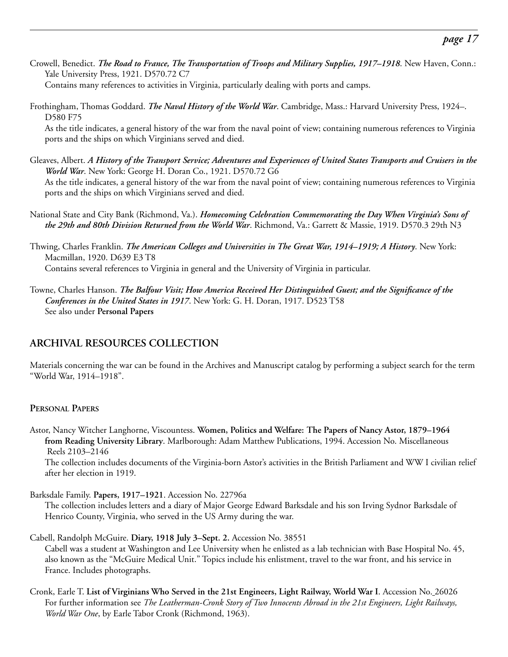- Crowell, Benedict. *The Road to France, The Transportation of Troops and Military Supplies, 1917–1918*. New Haven, Conn.: Yale University Press, 1921. D570.72 C7 Contains many references to activities in Virginia, particularly dealing with ports and camps.
- Frothingham, Thomas Goddard. *The Naval History of the World War*. Cambridge, Mass.: Harvard University Press, 1924–. D580 F75

As the title indicates, a general history of the war from the naval point of view; containing numerous references to Virginia ports and the ships on which Virginians served and died.

- Gleaves, Albert. *A History of the Transport Service; Adventures and Experiences of United States Transports and Cruisers in the World War*. New York: George H. Doran Co., 1921. D570.72 G6 As the title indicates, a general history of the war from the naval point of view; containing numerous references to Virginia ports and the ships on which Virginians served and died.
- National State and City Bank (Richmond, Va.). *Homecoming Celebration Commemorating the Day When Virginia's Sons of the 29th and 80th Division Returned from the World War*. Richmond, Va.: Garrett & Massie, 1919. D570.3 29th N3

Thwing, Charles Franklin. *The American Colleges and Universities in The Great War, 1914–1919; A History*. New York: Macmillan, 1920. D639 E3 T8 Contains several references to Virginia in general and the University of Virginia in particular.

Towne, Charles Hanson. *The Balfour Visit; How America Received Her Distinguished Guest; and the Significance of the Conferences in the United States in 1917*. New York: G. H. Doran, 1917. D523 T58 See also under **Personal Papers**

# **ARCHIVAL RESOURCES COLLECTION**

Materials concerning the war can be found in the Archives and Manuscript catalog by performing a subject search for the term "World War, 1914–1918".

### **PERSONAL PAPERS**

Astor, Nancy Witcher Langhorne, Viscountess. **Women, Politics and Welfare: The Papers of Nancy Astor, 1879–1964 from Reading University Library**. Marlborough: Adam Matthew Publications, 1994. Accession No. Miscellaneous Reels 2103–2146

The collection includes documents of the Virginia-born Astor's activities in the British Parliament and WW I civilian relief after her election in 1919.

Barksdale Family. **Papers, 1917–1921**. Accession No. 22796a

The collection includes letters and a diary of Major George Edward Barksdale and his son Irving Sydnor Barksdale of Henrico County, Virginia, who served in the US Army during the war.

- Cabell, Randolph McGuire. **Diary, 1918 July 3–Sept. 2.** Accession No. 38551 Cabell was a student at Washington and Lee University when he enlisted as a lab technician with Base Hospital No. 45, also known as the "McGuire Medical Unit." Topics include his enlistment, travel to the war front, and his service in France. Includes photographs.
- Cronk, Earle T. **List of Virginians Who Served in the 21st Engineers, Light Railway, World War I**. Accession No. 26026 For further information see *The Leatherman-Cronk Story of Two Innocents Abroad in the 21st Engineers, Light Railways, World War One*, by Earle Tabor Cronk (Richmond, 1963).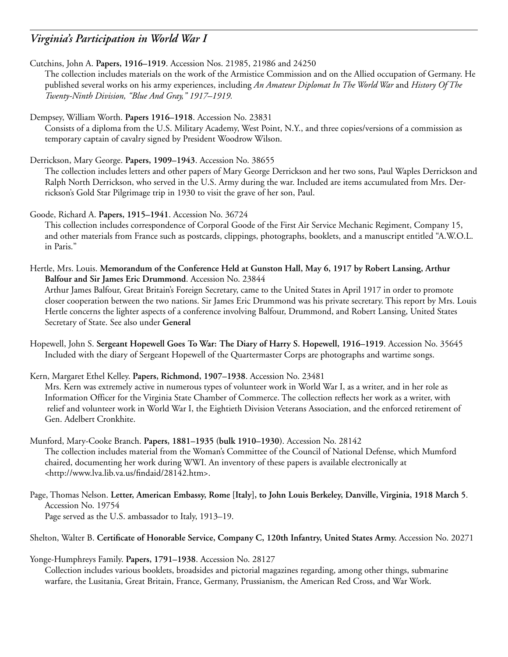Cutchins, John A. **Papers, 1916–1919**. Accession Nos. 21985, 21986 and 24250

The collection includes materials on the work of the Armistice Commission and on the Allied occupation of Germany. He published several works on his army experiences, including *An Amateur Diplomat In The World War* and *History Of The Twenty-Ninth Division, "Blue And Gray," 1917–1919.*

Dempsey, William Worth. **Papers 1916–1918**. Accession No. 23831 Consists of a diploma from the U.S. Military Academy, West Point, N.Y., and three copies/versions of a commission as temporary captain of cavalry signed by President Woodrow Wilson.

Derrickson, Mary George. **Papers, 1909–1943**. Accession No. 38655

The collection includes letters and other papers of Mary George Derrickson and her two sons, Paul Waples Derrickson and Ralph North Derrickson, who served in the U.S. Army during the war. Included are items accumulated from Mrs. Derrickson's Gold Star Pilgrimage trip in 1930 to visit the grave of her son, Paul.

Goode, Richard A. **Papers, 1915–1941**. Accession No. 36724 This collection includes correspondence of Corporal Goode of the First Air Service Mechanic Regiment, Company 15, and other materials from France such as postcards, clippings, photographs, booklets, and a manuscript entitled "A.W.O.L. in Paris."

Hertle, Mrs. Louis. **Memorandum of the Conference Held at Gunston Hall, May 6, 1917 by Robert Lansing, Arthur Balfour and Sir James Eric Drummond**. Accession No. 23844 Arthur James Balfour, Great Britain's Foreign Secretary, came to the United States in April 1917 in order to promote closer cooperation between the two nations. Sir James Eric Drummond was his private secretary. This report by Mrs. Louis Hertle concerns the lighter aspects of a conference involving Balfour, Drummond, and Robert Lansing, United States

Secretary of State. See also under **General**

Hopewell, John S. **Sergeant Hopewell Goes To War: The Diary of Harry S. Hopewell, 1916–1919**. Accession No. 35645 Included with the diary of Sergeant Hopewell of the Quartermaster Corps are photographs and wartime songs.

Kern, Margaret Ethel Kelley. **Papers, Richmond, 1907–1938**. Accession No. 23481 Mrs. Kern was extremely active in numerous types of volunteer work in World War I, as a writer, and in her role as Information Officer for the Virginia State Chamber of Commerce. The collection reflects her work as a writer, with relief and volunteer work in World War I, the Eightieth Division Veterans Association, and the enforced retirement of Gen. Adelbert Cronkhite.

- Munford, Mary-Cooke Branch. **Papers, 1881–1935 (bulk 1910–1930)**. Accession No. 28142 The collection includes material from the Woman's Committee of the Council of National Defense, which Mumford chaired, documenting her work during WWI. An inventory of these papers is available electronically at [<http://www.lva.lib.va.us/findaid/28142.htm>.](http://www.lva.lib.va.us/findaid/28142.htm)
- Page, Thomas Nelson. **Letter, American Embassy, Rome [Italy], to John Louis Berkeley, Danville, Virginia, 1918 March 5**. Accession No. 19754 Page served as the U.S. ambassador to Italy, 1913–19.

Shelton, Walter B. **Certificate of Honorable Service, Company C, 120th Infantry, United States Army.** Accession No. 20271

Yonge-Humphreys Family. **Papers, 1791–1938**. Accession No. 28127 Collection includes various booklets, broadsides and pictorial magazines regarding, among other things, submarine warfare, the Lusitania, Great Britain, France, Germany, Prussianism, the American Red Cross, and War Work.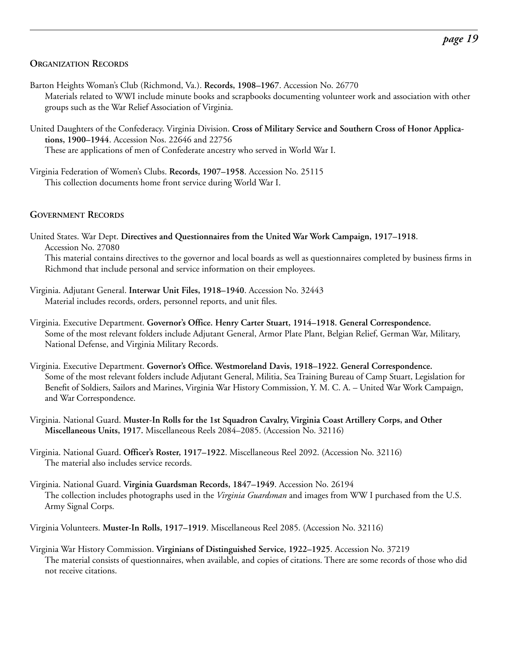#### **ORGANIZATION RECORDS**

- Barton Heights Woman's Club (Richmond, Va.). **Records, 1908–1967**. Accession No. 26770 Materials related to WWI include minute books and scrapbooks documenting volunteer work and association with other groups such as the War Relief Association of Virginia.
- United Daughters of the Confederacy. Virginia Division. **Cross of Military Service and Southern Cross of Honor Applications, 1900–1944**. Accession Nos. 22646 and 22756 These are applications of men of Confederate ancestry who served in World War I.
- Virginia Federation of Women's Clubs. **Records, 1907–1958**. Accession No. 25115 This collection documents home front service during World War I.

#### **GOVERNMENT RECORDS**

United States. War Dept. **Directives and Questionnaires from the United War Work Campaign, 1917–1918**. Accession No. 27080

This material contains directives to the governor and local boards as well as questionnaires completed by business firms in Richmond that include personal and service information on their employees.

- Virginia. Adjutant General. **Interwar Unit Files, 1918–1940**. Accession No. 32443 Material includes records, orders, personnel reports, and unit files.
- Virginia. Executive Department. **Governor's Office. Henry Carter Stuart, 1914–1918. General Correspondence.** Some of the most relevant folders include Adjutant General, Armor Plate Plant, Belgian Relief, German War, Military, National Defense, and Virginia Military Records.
- Virginia. Executive Department. **Governor's Office. Westmoreland Davis, 1918–1922. General Correspondence.** Some of the most relevant folders include Adjutant General, Militia, Sea Training Bureau of Camp Stuart, Legislation for Benefit of Soldiers, Sailors and Marines, Virginia War History Commission, Y. M. C. A. – United War Work Campaign, and War Correspondence.
- Virginia. National Guard. **Muster-In Rolls for the 1st Squadron Cavalry, Virginia Coast Artillery Corps, and Other Miscellaneous Units, 1917.** Miscellaneous Reels 2084–2085. (Accession No. 32116)
- Virginia. National Guard. **Officer's Roster, 1917–1922**. Miscellaneous Reel 2092. (Accession No. 32116) The material also includes service records.
- Virginia. National Guard. **Virginia Guardsman Records, 1847–1949**. Accession No. 26194 The collection includes photographs used in the *Virginia Guardsman* and images from WW I purchased from the U.S. Army Signal Corps.

Virginia Volunteers. **Muster-In Rolls, 1917–1919**. Miscellaneous Reel 2085. (Accession No. 32116)

Virginia War History Commission. **Virginians of Distinguished Service, 1922–1925**. Accession No. 37219 The material consists of questionnaires, when available, and copies of citations. There are some records of those who did not receive citations.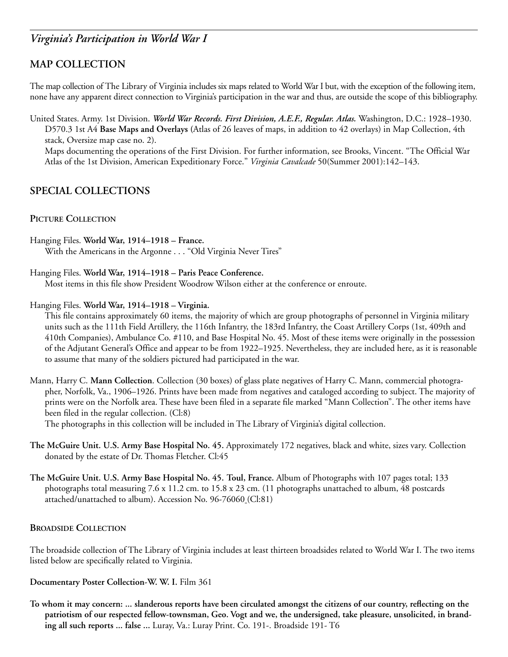# **MAP COLLECTION**

The map collection of The Library of Virginia includes six maps related to World War I but, with the exception of the following item, none have any apparent direct connection to Virginia's participation in the war and thus, are outside the scope of this bibliography.

United States. Army. 1st Division. *World War Records. First Division, A.E.F., Regular. Atlas.* Washington, D.C.: 1928–1930. D570.3 1st A4 **Base Maps and Overlays (**Atlas of 26 leaves of maps, in addition to 42 overlays) in Map Collection, 4th stack, Oversize map case no. 2).

Maps documenting the operations of the First Division. For further information, see Brooks, Vincent. "The Official War Atlas of the 1st Division, American Expeditionary Force." *Virginia Cavalcade* 50(Summer 2001):142–143.

# **SPECIAL COLLECTIONS**

#### **PICTURE COLLECTION**

Hanging Files. **World War, 1914–1918 – France.** With the Americans in the Argonne . . . "Old Virginia Never Tires"

#### Hanging Files. **World War, 1914–1918 – Paris Peace Conference.**

Most items in this file show President Woodrow Wilson either at the conference or enroute.

#### Hanging Files. **World War, 1914–1918 – Virginia.**

This file contains approximately 60 items, the majority of which are group photographs of personnel in Virginia military units such as the 111th Field Artillery, the 116th Infantry, the 183rd Infantry, the Coast Artillery Corps (1st, 409th and 410th Companies), Ambulance Co. #110, and Base Hospital No. 45. Most of these items were originally in the possession of the Adjutant General's Office and appear to be from 1922–1925. Nevertheless, they are included here, as it is reasonable to assume that many of the soldiers pictured had participated in the war.

Mann, Harry C. **Mann Collection**. Collection (30 boxes) of glass plate negatives of Harry C. Mann, commercial photographer, Norfolk, Va., 1906–1926. Prints have been made from negatives and cataloged according to subject. The majority of prints were on the Norfolk area. These have been filed in a separate file marked "Mann Collection". The other items have been filed in the regular collection. (Cl:8)

The photographs in this collection will be included in The Library of Virginia's digital collection.

- **The McGuire Unit. U.S. Army Base Hospital No. 45.** Approximately 172 negatives, black and white, sizes vary. Collection donated by the estate of Dr. Thomas Fletcher. Cl:45
- **The McGuire Unit. U.S. Army Base Hospital No. 45. Toul, France.** Album of Photographs with 107 pages total; 133 photographs total measuring 7.6 x 11.2 cm. to 15.8 x 23 cm. (11 photographs unattached to album, 48 postcards attached/unattached to album). Accession No. 96-76060 (Cl:81)

#### **BROADSIDE COLLECTION**

The broadside collection of The Library of Virginia includes at least thirteen broadsides related to World War I. The two items listed below are specifically related to Virginia.

**Documentary Poster Collection-W. W. I.** Film 361

**To whom it may concern: ... slanderous reports have been circulated amongst the citizens of our country, reflecting on the patriotism of our respected fellow-townsman, Geo. Vogt and we, the undersigned, take pleasure, unsolicited, in branding all such reports ... false ...** Luray, Va.: Luray Print. Co. 191-. Broadside 191- T6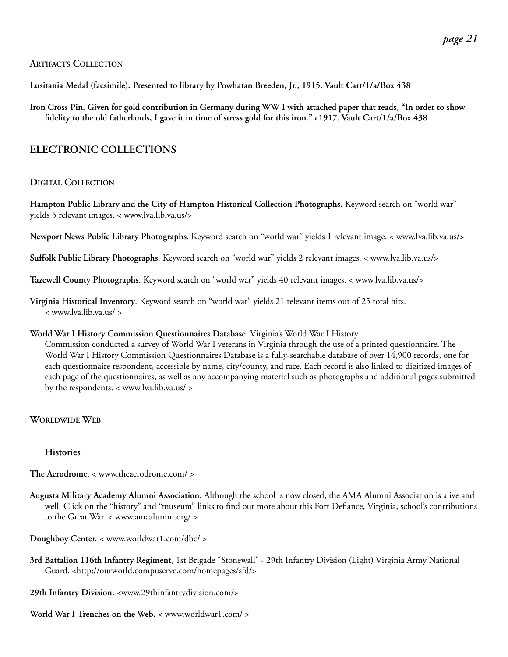#### **ARTIFACTS COLLECTION**

**Lusitania Medal (facsimile). Presented to library by Powhatan Breeden, Jr., 1915. Vault Cart/1/a/Box 438**

**Iron Cross Pin. Given for gold contribution in Germany during WW I with attached paper that reads, "In order to show fidelity to the old fatherlands, I gave it in time of stress gold for this iron." c1917. Vault Cart/1/a/Box 438**

# **ELECTRONIC COLLECTIONS**

#### **DIGITAL COLLECTION**

**Hampton Public Library and the City of Hampton Historical Collection Photographs.** Keyword search on "world war" yields 5 relevant images. < www.lva.lib.va.us/>

**Newport News Public Library Photographs**. Keyword search on "world war" yields 1 relevant image. < www.lva.lib.va.us/>

**Suffolk Public Library Photographs**. Keyword search on "world war" yields 2 relevant images. < www.lva.lib.va.us/>

**Tazewell County Photographs**. Keyword search on "world war" yields 40 relevant images. < www.lva.lib.va.us/>

**Virginia Historical Inventory**. Keyword search on "world war" yields 21 relevant items out of 25 total hits. < www.lva.lib.va.us/ >

#### **World War I History Commission Questionnaires Database**. Virginia's World War I History

Commission conducted a survey of World War I veterans in Virginia through the use of a printed questionnaire. The World War I History Commission Questionnaires Database is a fully-searchable database of over 14,900 records, one for each questionnaire respondent, accessible by name, city/county, and race. Each record is also linked to digitized images of each page of the questionnaires, as well as any accompanying material such as photographs and additional pages submitted by the respondents. < www.lva.lib.va.us/ >

#### **WORLDWIDE WEB**

#### **Histories**

**The Aerodrome.** < www.theaerodrome.com/ >

- **Augusta Military Academy Alumni Association.** Although the school is now closed, the AMA Alumni Association is alive and well. Click on the "history" and "museum" links to find out more about this Fort Defiance, Virginia, school's contributions to the Great War. < www.amaalumni.org/ >
- **Doughboy Center. <** www.worldwar1.com/dbc/ >
- **3rd Battalion 116th Infantry Regiment**, 1st Brigade "Stonewall" 29th Infantry Division (Light) Virginia Army National Guard. [<http://ourworld.compuserve.com/homepages/sfd/>](http://ourworld.compuserve.com/homepages/sfd/)
- **29th Infantry Division.** <www.29thinfantrydivision.com/>
- **World War I Trenches on the Web.** < www.worldwar1.com/ >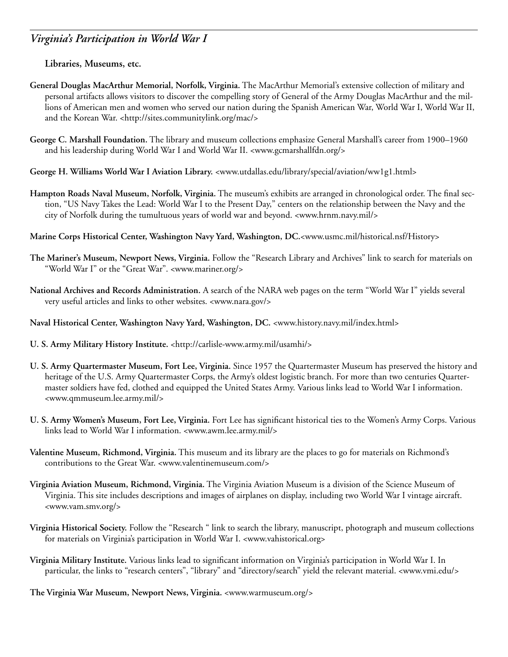#### **Libraries, Museums, etc.**

- **General Douglas MacArthur Memorial, Norfolk, Virginia.** The MacArthur Memorial's extensive collection of military and personal artifacts allows visitors to discover the compelling story of General of the Army Douglas MacArthur and the millions of American men and women who served our nation during the Spanish American War, World War I, World War II, and the Korean War. [<http://sites.communitylink.org/mac/>](http://sites.communitylink.org/mac/)
- **George C. Marshall Foundation.** The library and museum collections emphasize General Marshall's career from 1900–1960 and his leadership during World War I and World War II. <www.gcmarshallfdn.org/>
- **George H. Williams World War I Aviation Library.** <www.utdallas.edu/library/special/aviation/ww1g1.html>
- **Hampton Roads Naval Museum, Norfolk, Virginia.** The museum's exhibits are arranged in chronological order. The final section, "US Navy Takes the Lead: World War I to the Present Day," centers on the relationship between the Navy and the city of Norfolk during the tumultuous years of world war and beyond. <www.hrnm.navy.mil/>
- **Marine Corps Historical Center, Washington Navy Yard, Washington, DC.**<www.usmc.mil/historical.nsf/History>
- **The Mariner's Museum, Newport News, Virginia.** Follow the "Research Library and Archives" link to search for materials on "World War I" or the "Great War". <www.mariner.org/>
- **National Archives and Records Administration.** A search of the NARA web pages on the term "World War I" yields several very useful articles and links to other websites. <www.nara.gov/>
- **Naval Historical Center, Washington Navy Yard, Washington, DC.** <www.history.navy.mil/index.html>
- **U. S. Army Military History Institute.** [<http://carlisle-www.army.mil/usamhi/>](http://carlisle-www.army.mil/usamhi/)
- **U. S. Army Quartermaster Museum, Fort Lee, Virginia.** Since 1957 the Quartermaster Museum has preserved the history and heritage of the U.S. Army Quartermaster Corps, the Army's oldest logistic branch. For more than two centuries Quartermaster soldiers have fed, clothed and equipped the United States Army. Various links lead to World War I information. <www.qmmuseum.lee.army.mil/>
- **U. S. Army Women's Museum, Fort Lee, Virginia.** Fort Lee has significant historical ties to the Women's Army Corps. Various links lead to World War I information. <www.awm.lee.army.mil/>
- **Valentine Museum, Richmond, Virginia.** This museum and its library are the places to go for materials on Richmond's contributions to the Great War. <www.valentinemuseum.com/>
- **Virginia Aviation Museum, Richmond, Virginia.** The Virginia Aviation Museum is a division of the Science Museum of Virginia. This site includes descriptions and images of airplanes on display, including two World War I vintage aircraft. <www.vam.smv.org/>
- **Virginia Historical Society.** Follow the "Research " link to search the library, manuscript, photograph and museum collections for materials on Virginia's participation in World War I. <www.vahistorical.org>
- **Virginia Military Institute.** Various links lead to significant information on Virginia's participation in World War I. In particular, the links to "research centers", "library" and "directory/search" yield the relevant material. <www.vmi.edu/>
- **The Virginia War Museum, Newport News, Virginia.** <www.warmuseum.org/>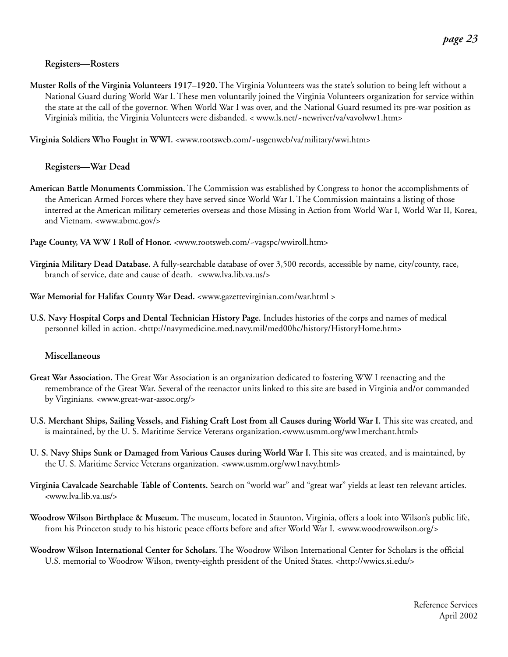#### **Registers—Rosters**

**Muster Rolls of the Virginia Volunteers 1917–1920.** The Virginia Volunteers was the state's solution to being left without a National Guard during World War I. These men voluntarily joined the Virginia Volunteers organization for service within the state at the call of the governor. When World War I was over, and the National Guard resumed its pre-war position as Virginia's militia, the Virginia Volunteers were disbanded. < www.ls.net/~newriver/va/vavolww1.htm>

**Virginia Soldiers Who Fought in WWI.** <www.rootsweb.com/~usgenweb/va/military/wwi.htm>

#### **Registers—War Dead**

- **American Battle Monuments Commission.** The Commission was established by Congress to honor the accomplishments of the American Armed Forces where they have served since World War I. The Commission maintains a listing of those interred at the American military cemeteries overseas and those Missing in Action from World War I, World War II, Korea, and Vietnam. <www.abmc.gov/>
- **Page County, VA WW I Roll of Honor.** <www.rootsweb.com/~vagspc/wwiroll.htm>
- **Virginia Military Dead Database.** A fully-searchable database of over 3,500 records, accessible by name, city/county, race, branch of service, date and cause of death. <www.lva.lib.va.us/>
- **War Memorial for Halifax County War Dead.** <www.gazettevirginian.com/war.html >
- **U.S. Navy Hospital Corps and Dental Technician History Page.** Includes histories of the corps and names of medical personnel killed in action. [<http://navymedicine.med.navy.mil/med00hc/history/HistoryHome.htm>](http://navymedicine.med.navy.mil/med00hc/history/HistoryHome.htm)

#### **Miscellaneous**

- **Great War Association.** The Great War Association is an organization dedicated to fostering WW I reenacting and the remembrance of the Great War. Several of the reenactor units linked to this site are based in Virginia and/or commanded by Virginians. <www.great-war-assoc.org/>
- **U.S. Merchant Ships, Sailing Vessels, and Fishing Craft Lost from all Causes during World War I.** This site was created, and is maintained, by the U. S. Maritime Service Veterans organization.<www.usmm.org/ww1merchant.html>
- **U. S. Navy Ships Sunk or Damaged from Various Causes during World War I.** This site was created, and is maintained, by the U. S. Maritime Service Veterans organization. <www.usmm.org/ww1navy.html>
- **Virginia Cavalcade Searchable Table of Contents.** Search on "world war" and "great war" yields at least ten relevant articles. <www.lva.lib.va.us/>
- **Woodrow Wilson Birthplace & Museum.** The museum, located in Staunton, Virginia, offers a look into Wilson's public life, from his Princeton study to his historic peace efforts before and after World War I. <www.woodrowwilson.org/>
- **Woodrow Wilson International Center for Scholars.** The Woodrow Wilson International Center for Scholars is the official U.S. memorial to Woodrow Wilson, twenty-eighth president of the United States. [<http://wwics.si.edu/>](http://wwics.si.edu/)